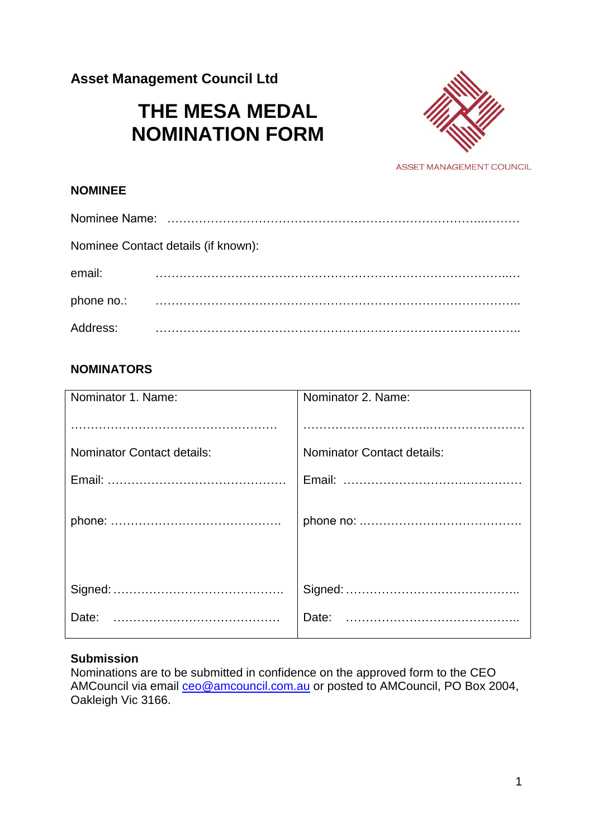**Asset Management Council Ltd**

# **THE MESA MEDAL NOMINATION FORM**



ASSET MANAGEMENT COUNCIL

## **NOMINEE**

| Nominee Contact details (if known): |  |  |
|-------------------------------------|--|--|
| email:                              |  |  |
| phone no.:                          |  |  |
| Address:                            |  |  |

# **NOMINATORS**

| Nominator 1. Name:                | Nominator 2. Name:                |
|-----------------------------------|-----------------------------------|
|                                   |                                   |
|                                   |                                   |
| <b>Nominator Contact details:</b> | <b>Nominator Contact details:</b> |
|                                   |                                   |
|                                   |                                   |
|                                   |                                   |
|                                   |                                   |
|                                   |                                   |
|                                   |                                   |
| Date:                             |                                   |
|                                   |                                   |

#### **Submission**

Nominations are to be submitted in confidence on the approved form to the CEO AMCouncil via email [ceo@amcouncil.com.au](mailto:ceo@amcouncil.com.au) or posted to AMCouncil, PO Box 2004, Oakleigh Vic 3166.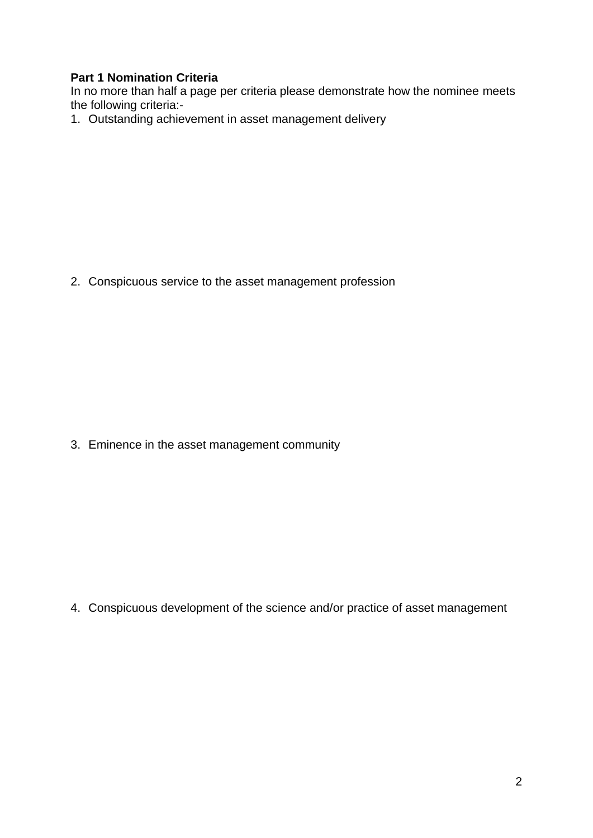# **Part 1 Nomination Criteria**

In no more than half a page per criteria please demonstrate how the nominee meets the following criteria:-

1. Outstanding achievement in asset management delivery

2. Conspicuous service to the asset management profession

3. Eminence in the asset management community

4. Conspicuous development of the science and/or practice of asset management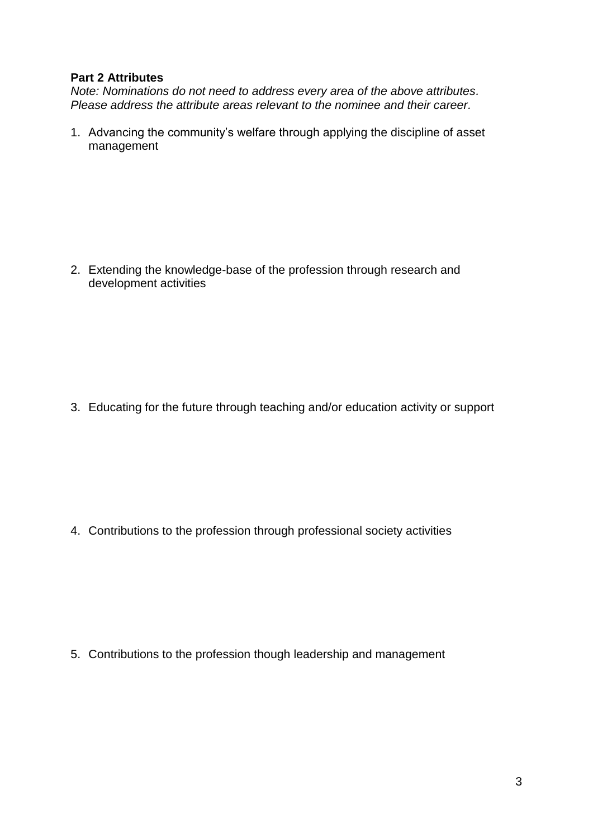## **Part 2 Attributes**

*Note: Nominations do not need to address every area of the above attributes. Please address the attribute areas relevant to the nominee and their career.*

1. Advancing the community's welfare through applying the discipline of asset management

2. Extending the knowledge-base of the profession through research and development activities

3. Educating for the future through teaching and/or education activity or support

4. Contributions to the profession through professional society activities

5. Contributions to the profession though leadership and management